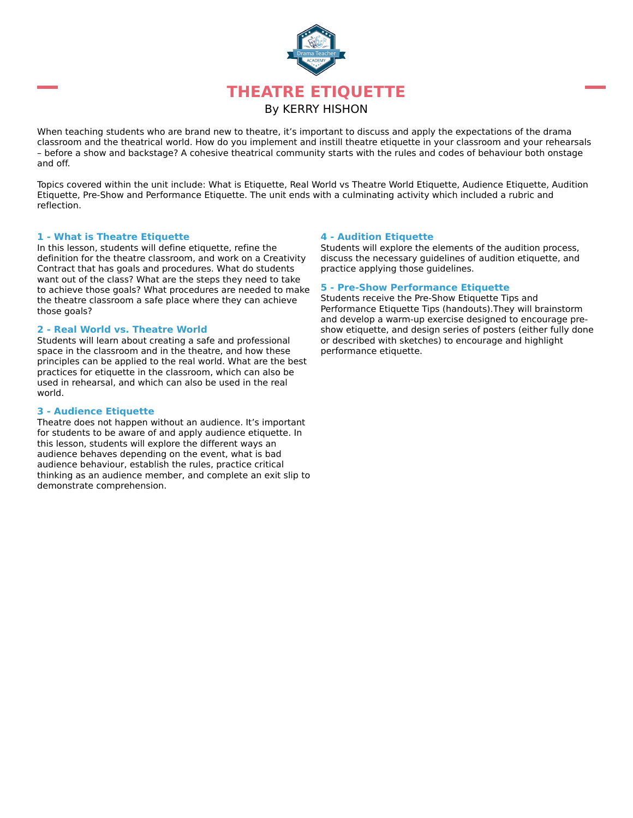

When teaching students who are brand new to theatre, it's important to discuss and apply the expectations of the drama classroom and the theatrical world. How do you implement and instill theatre etiquette in your classroom and your rehearsals – before a show and backstage? A cohesive theatrical community starts with the rules and codes of behaviour both onstage and off.

Topics covered within the unit include: What is Etiquette, Real World vs Theatre World Etiquette, Audience Etiquette, Audition Etiquette, Pre-Show and Performance Etiquette. The unit ends with a culminating activity which included a rubric and reflection.

#### **1 - What is Theatre Etiquette**

In this lesson, students will define etiquette, refine the definition for the theatre classroom, and work on a Creativity Contract that has goals and procedures. What do students want out of the class? What are the steps they need to take to achieve those goals? What procedures are needed to make the theatre classroom a safe place where they can achieve those goals?

#### **2 - Real World vs. Theatre World**

Students will learn about creating a safe and professional space in the classroom and in the theatre, and how these principles can be applied to the real world. What are the best practices for etiquette in the classroom, which can also be used in rehearsal, and which can also be used in the real world.

#### **3 - Audience Etiquette**

Theatre does not happen without an audience. It's important for students to be aware of and apply audience etiquette. In this lesson, students will explore the different ways an audience behaves depending on the event, what is bad audience behaviour, establish the rules, practice critical thinking as an audience member, and complete an exit slip to demonstrate comprehension.

#### **4 - Audition Etiquette**

Students will explore the elements of the audition process, discuss the necessary guidelines of audition etiquette, and practice applying those guidelines.

#### **5 - Pre-Show Performance Etiquette**

Students receive the Pre-Show Etiquette Tips and Performance Etiquette Tips (handouts).They will brainstorm and develop a warm-up exercise designed to encourage preshow etiquette, and design series of posters (either fully done or described with sketches) to encourage and highlight performance etiquette.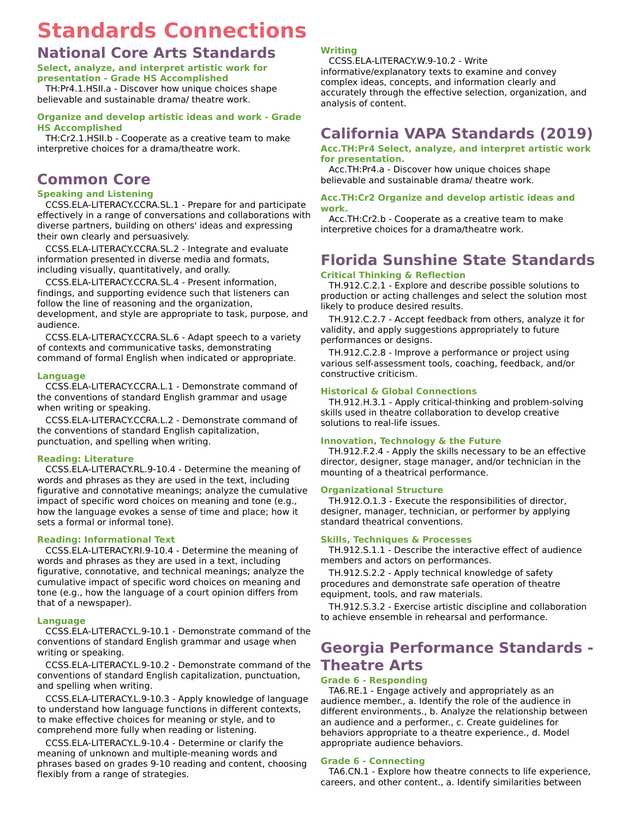# **Standards Connections**

### **National Core Arts Standards**

#### **Select, analyze, and interpret artistic work for presentation - Grade HS Accomplished**

TH:Pr4.1.HSII.a - Discover how unique choices shape believable and sustainable drama/ theatre work.

#### **Organize and develop artistic ideas and work - Grade HS Accomplished**

TH:Cr2.1.HSII.b - Cooperate as a creative team to make interpretive choices for a drama/theatre work.

## **Common Core**

#### **Speaking and Listening**

CCSS.ELA-LITERACY.CCRA.SL.1 - Prepare for and participate effectively in a range of conversations and collaborations with diverse partners, building on others' ideas and expressing their own clearly and persuasively.

CCSS.ELA-LITERACY.CCRA.SL.2 - Integrate and evaluate information presented in diverse media and formats, including visually, quantitatively, and orally.

CCSS.ELA-LITERACY.CCRA.SL.4 - Present information, findings, and supporting evidence such that listeners can follow the line of reasoning and the organization, development, and style are appropriate to task, purpose, and audience.

CCSS.ELA-LITERACY.CCRA.SL.6 - Adapt speech to a variety of contexts and communicative tasks, demonstrating command of formal English when indicated or appropriate.

#### **Language**

CCSS.ELA-LITERACY.CCRA.L.1 - Demonstrate command of the conventions of standard English grammar and usage when writing or speaking.

CCSS.ELA-LITERACY.CCRA.L.2 - Demonstrate command of the conventions of standard English capitalization, punctuation, and spelling when writing.

### **Reading: Literature**

CCSS.ELA-LITERACY.RL.9-10.4 - Determine the meaning of words and phrases as they are used in the text, including figurative and connotative meanings; analyze the cumulative impact of specific word choices on meaning and tone (e.g., how the language evokes a sense of time and place; how it sets a formal or informal tone).

### **Reading: Informational Text**

CCSS.ELA-LITERACY.RI.9-10.4 - Determine the meaning of words and phrases as they are used in a text, including figurative, connotative, and technical meanings; analyze the cumulative impact of specific word choices on meaning and tone (e.g., how the language of a court opinion differs from that of a newspaper).

#### **Language**

CCSS.ELA-LITERACY.L.9-10.1 - Demonstrate command of the conventions of standard English grammar and usage when writing or speaking.

CCSS.ELA-LITERACY.L.9-10.2 - Demonstrate command of the conventions of standard English capitalization, punctuation, and spelling when writing.

CCSS.ELA-LITERACY.L.9-10.3 - Apply knowledge of language to understand how language functions in different contexts, to make effective choices for meaning or style, and to comprehend more fully when reading or listening.

CCSS.ELA-LITERACY.L.9-10.4 - Determine or clarify the meaning of unknown and multiple-meaning words and phrases based on grades 9-10 reading and content, choosing flexibly from a range of strategies.

### **Writing**

CCSS.ELA-LITERACY.W.9-10.2 - Write

informative/explanatory texts to examine and convey complex ideas, concepts, and information clearly and accurately through the effective selection, organization, and analysis of content.

### **California VAPA Standards (2019)**

#### **Acc.TH:Pr4 Select, analyze, and interpret artistic work for presentation.**

Acc.TH:Pr4.a - Discover how unique choices shape believable and sustainable drama/ theatre work.

#### **Acc.TH:Cr2 Organize and develop artistic ideas and work.**

Acc.TH:Cr2.b - Cooperate as a creative team to make interpretive choices for a drama/theatre work.

# **Florida Sunshine State Standards**

### **Critical Thinking & Reflection**

TH.912.C.2.1 - Explore and describe possible solutions to production or acting challenges and select the solution most likely to produce desired results.

TH.912.C.2.7 - Accept feedback from others, analyze it for validity, and apply suggestions appropriately to future performances or designs.

TH.912.C.2.8 - Improve a performance or project using various self-assessment tools, coaching, feedback, and/or constructive criticism.

#### **Historical & Global Connections**

TH.912.H.3.1 - Apply critical-thinking and problem-solving skills used in theatre collaboration to develop creative solutions to real-life issues.

#### **Innovation, Technology & the Future**

TH.912.F.2.4 - Apply the skills necessary to be an effective director, designer, stage manager, and/or technician in the mounting of a theatrical performance.

#### **Organizational Structure**

TH.912.O.1.3 - Execute the responsibilities of director, designer, manager, technician, or performer by applying standard theatrical conventions.

### **Skills, Techniques & Processes**

TH.912.S.1.1 - Describe the interactive effect of audience members and actors on performances.

TH.912.S.2.2 - Apply technical knowledge of safety procedures and demonstrate safe operation of theatre equipment, tools, and raw materials.

TH.912.S.3.2 - Exercise artistic discipline and collaboration to achieve ensemble in rehearsal and performance.

# **Georgia Performance Standards - Theatre Arts**

### **Grade 6 - Responding**

TA6.RE.1 - Engage actively and appropriately as an audience member., a. Identify the role of the audience in different environments., b. Analyze the relationship between an audience and a performer., c. Create guidelines for behaviors appropriate to a theatre experience., d. Model appropriate audience behaviors.

### **Grade 6 - Connecting**

TA6.CN.1 - Explore how theatre connects to life experience, careers, and other content., a. Identify similarities between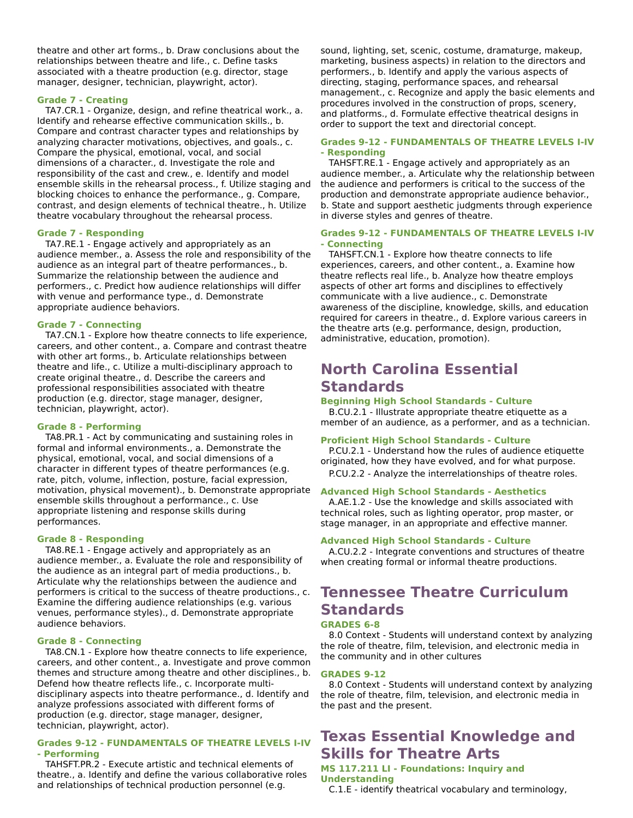theatre and other art forms., b. Draw conclusions about the relationships between theatre and life., c. Define tasks associated with a theatre production (e.g. director, stage manager, designer, technician, playwright, actor).

#### **Grade 7 - Creating**

TA7.CR.1 - Organize, design, and refine theatrical work., a. Identify and rehearse effective communication skills., b. Compare and contrast character types and relationships by analyzing character motivations, objectives, and goals., c. Compare the physical, emotional, vocal, and social dimensions of a character., d. Investigate the role and responsibility of the cast and crew., e. Identify and model ensemble skills in the rehearsal process., f. Utilize staging and blocking choices to enhance the performance., g. Compare, contrast, and design elements of technical theatre., h. Utilize theatre vocabulary throughout the rehearsal process.

#### **Grade 7 - Responding**

TA7.RE.1 - Engage actively and appropriately as an audience member., a. Assess the role and responsibility of the audience as an integral part of theatre performances., b. Summarize the relationship between the audience and performers., c. Predict how audience relationships will differ with venue and performance type., d. Demonstrate appropriate audience behaviors.

#### **Grade 7 - Connecting**

TA7.CN.1 - Explore how theatre connects to life experience, careers, and other content., a. Compare and contrast theatre with other art forms., b. Articulate relationships between theatre and life., c. Utilize a multi-disciplinary approach to create original theatre., d. Describe the careers and professional responsibilities associated with theatre production (e.g. director, stage manager, designer, technician, playwright, actor).

#### **Grade 8 - Performing**

TA8.PR.1 - Act by communicating and sustaining roles in formal and informal environments., a. Demonstrate the physical, emotional, vocal, and social dimensions of a character in different types of theatre performances (e.g. rate, pitch, volume, inflection, posture, facial expression, motivation, physical movement)., b. Demonstrate appropriate ensemble skills throughout a performance., c. Use appropriate listening and response skills during performances.

#### **Grade 8 - Responding**

TA8.RE.1 - Engage actively and appropriately as an audience member., a. Evaluate the role and responsibility of the audience as an integral part of media productions., b. Articulate why the relationships between the audience and performers is critical to the success of theatre productions., c. Examine the differing audience relationships (e.g. various venues, performance styles)., d. Demonstrate appropriate audience behaviors.

#### **Grade 8 - Connecting**

TA8.CN.1 - Explore how theatre connects to life experience, careers, and other content., a. Investigate and prove common themes and structure among theatre and other disciplines., b. Defend how theatre reflects life., c. Incorporate multidisciplinary aspects into theatre performance., d. Identify and analyze professions associated with different forms of production (e.g. director, stage manager, designer, technician, playwright, actor).

#### **Grades 9-12 - FUNDAMENTALS OF THEATRE LEVELS I-IV - Performing**

TAHSFT.PR.2 - Execute artistic and technical elements of theatre., a. Identify and define the various collaborative roles and relationships of technical production personnel (e.g.

sound, lighting, set, scenic, costume, dramaturge, makeup, marketing, business aspects) in relation to the directors and performers., b. Identify and apply the various aspects of directing, staging, performance spaces, and rehearsal management., c. Recognize and apply the basic elements and procedures involved in the construction of props, scenery, and platforms., d. Formulate effective theatrical designs in order to support the text and directorial concept.

#### **Grades 9-12 - FUNDAMENTALS OF THEATRE LEVELS I-IV - Responding**

TAHSFT.RE.1 - Engage actively and appropriately as an audience member., a. Articulate why the relationship between the audience and performers is critical to the success of the production and demonstrate appropriate audience behavior., b. State and support aesthetic judgments through experience in diverse styles and genres of theatre.

#### **Grades 9-12 - FUNDAMENTALS OF THEATRE LEVELS I-IV - Connecting**

TAHSFT.CN.1 - Explore how theatre connects to life experiences, careers, and other content., a. Examine how theatre reflects real life., b. Analyze how theatre employs aspects of other art forms and disciplines to effectively communicate with a live audience., c. Demonstrate awareness of the discipline, knowledge, skills, and education required for careers in theatre., d. Explore various careers in the theatre arts (e.g. performance, design, production, administrative, education, promotion).

### **North Carolina Essential Standards**

#### **Beginning High School Standards - Culture**

B.CU.2.1 - Illustrate appropriate theatre etiquette as a member of an audience, as a performer, and as a technician.

#### **Proficient High School Standards - Culture**

P.CU.2.1 - Understand how the rules of audience etiquette originated, how they have evolved, and for what purpose. P.CU.2.2 - Analyze the interrelationships of theatre roles.

#### **Advanced High School Standards - Aesthetics**

A.AE.1.2 - Use the knowledge and skills associated with technical roles, such as lighting operator, prop master, or stage manager, in an appropriate and effective manner.

#### **Advanced High School Standards - Culture**

A.CU.2.2 - Integrate conventions and structures of theatre when creating formal or informal theatre productions.

# **Tennessee Theatre Curriculum Standards**

### **GRADES 6-8**

8.0 Context - Students will understand context by analyzing the role of theatre, film, television, and electronic media in the community and in other cultures

#### **GRADES 9-12**

8.0 Context - Students will understand context by analyzing the role of theatre, film, television, and electronic media in the past and the present.

# **Texas Essential Knowledge and Skills for Theatre Arts**

#### **MS 117.211 LI - Foundations: Inquiry and Understanding**

C.1.E - identify theatrical vocabulary and terminology,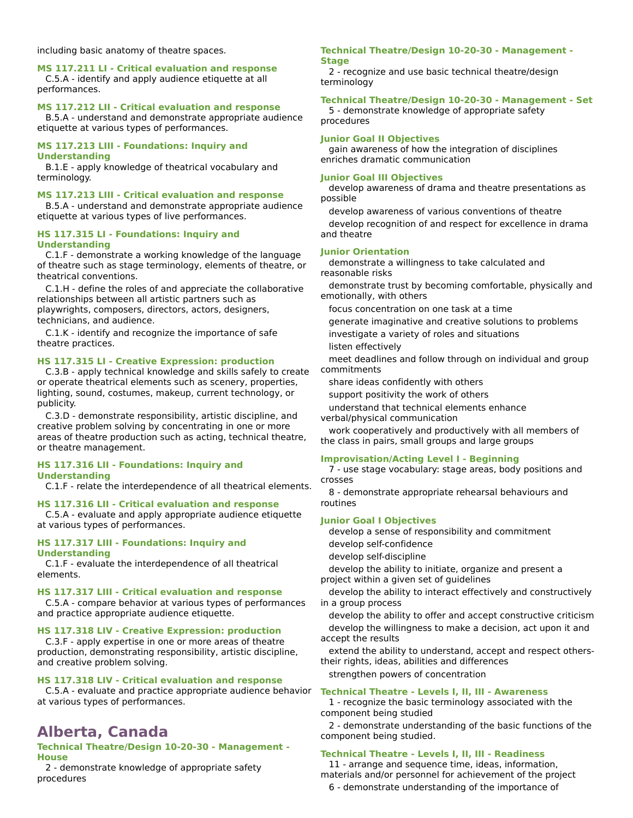including basic anatomy of theatre spaces.

**MS 117.211 LI - Critical evaluation and response** C.5.A - identify and apply audience etiquette at all performances.

#### **MS 117.212 LII - Critical evaluation and response**

B.5.A - understand and demonstrate appropriate audience etiquette at various types of performances.

#### **MS 117.213 LIII - Foundations: Inquiry and Understanding**

B.1.E - apply knowledge of theatrical vocabulary and terminology.

#### **MS 117.213 LIII - Critical evaluation and response**

B.5.A - understand and demonstrate appropriate audience etiquette at various types of live performances.

#### **HS 117.315 LI - Foundations: Inquiry and Understanding**

C.1.F - demonstrate a working knowledge of the language of theatre such as stage terminology, elements of theatre, or theatrical conventions.

C.1.H - define the roles of and appreciate the collaborative relationships between all artistic partners such as playwrights, composers, directors, actors, designers, technicians, and audience.

C.1.K - identify and recognize the importance of safe theatre practices.

#### **HS 117.315 LI - Creative Expression: production**

C.3.B - apply technical knowledge and skills safely to create or operate theatrical elements such as scenery, properties, lighting, sound, costumes, makeup, current technology, or publicity.

C.3.D - demonstrate responsibility, artistic discipline, and creative problem solving by concentrating in one or more areas of theatre production such as acting, technical theatre, or theatre management.

#### **HS 117.316 LII - Foundations: Inquiry and Understanding**

C.1.F - relate the interdependence of all theatrical elements.

#### **HS 117.316 LII - Critical evaluation and response**

C.5.A - evaluate and apply appropriate audience etiquette at various types of performances.

#### **HS 117.317 LIII - Foundations: Inquiry and Understanding**

C.1.F - evaluate the interdependence of all theatrical elements.

#### **HS 117.317 LIII - Critical evaluation and response**

C.5.A - compare behavior at various types of performances and practice appropriate audience etiquette.

#### **HS 117.318 LIV - Creative Expression: production**

C.3.F - apply expertise in one or more areas of theatre production, demonstrating responsibility, artistic discipline, and creative problem solving.

#### **HS 117.318 LIV - Critical evaluation and response**

C.5.A - evaluate and practice appropriate audience behavior **Technical Theatre - Levels I, II, III - Awareness** at various types of performances.

### **Alberta, Canada**

#### **Technical Theatre/Design 10-20-30 - Management - House**

2 - demonstrate knowledge of appropriate safety procedures

#### **Technical Theatre/Design 10-20-30 - Management - Stage**

2 - recognize and use basic technical theatre/design terminology

#### **Technical Theatre/Design 10-20-30 - Management - Set**

5 - demonstrate knowledge of appropriate safety procedures

#### **Junior Goal II Objectives**

gain awareness of how the integration of disciplines enriches dramatic communication

#### **Junior Goal III Objectives**

develop awareness of drama and theatre presentations as possible

develop awareness of various conventions of theatre develop recognition of and respect for excellence in drama and theatre

#### **Junior Orientation**

demonstrate a willingness to take calculated and reasonable risks

demonstrate trust by becoming comfortable, physically and emotionally, with others

focus concentration on one task at a time

generate imaginative and creative solutions to problems

investigate a variety of roles and situations

listen effectively

meet deadlines and follow through on individual and group commitments

share ideas confidently with others

support positivity the work of others

understand that technical elements enhance

verbal/physical communication

work cooperatively and productively with all members of the class in pairs, small groups and large groups

#### **Improvisation/Acting Level I - Beginning**

7 - use stage vocabulary: stage areas, body positions and crosses

8 - demonstrate appropriate rehearsal behaviours and routines

#### **Junior Goal I Objectives**

develop a sense of responsibility and commitment develop self-confidence

develop self-discipline

develop the ability to initiate, organize and present a project within a given set of guidelines

develop the ability to interact effectively and constructively in a group process

develop the ability to offer and accept constructive criticism develop the willingness to make a decision, act upon it and

accept the results

extend the ability to understand, accept and respect otherstheir rights, ideas, abilities and differences

strengthen powers of concentration

1 - recognize the basic terminology associated with the component being studied

2 - demonstrate understanding of the basic functions of the component being studied.

#### **Technical Theatre - Levels I, II, III - Readiness**

11 - arrange and sequence time, ideas, information, materials and/or personnel for achievement of the project

6 - demonstrate understanding of the importance of